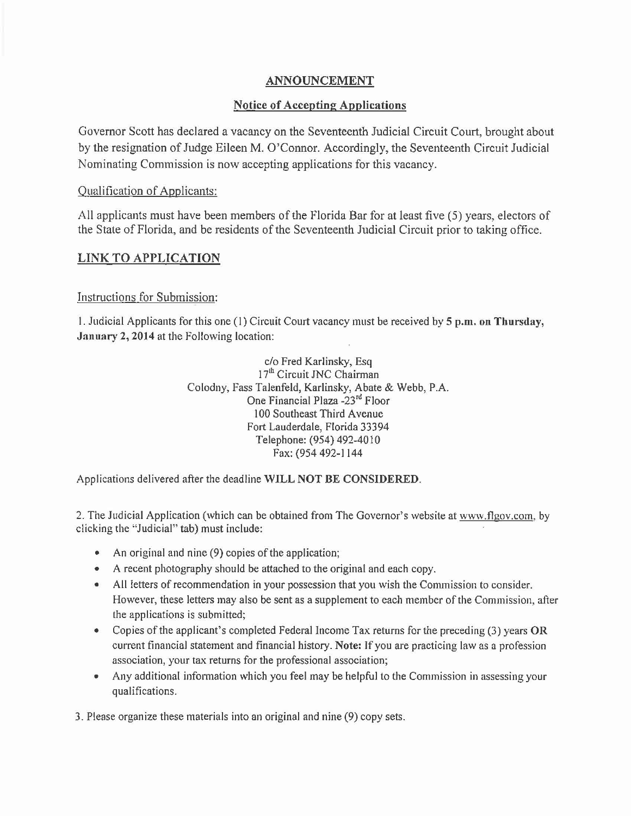## ANNOUNCEMENT

## Notice of Accepting Applications

Governor Scott has declared a vacancy on the Seventeenth Judicial Circuit Court, brought about by the resignation of Judge Eileen M. O'Connor. Accordingly, the Seventeenth Circuit Judicial Nominating Commission is now accepting applications for this vacancy.

## Qualification of Applicants:

All applicants must have been members of the Florida Bar for at least five (5) years, electors of the State of Florida, and be residents of the Seventeenth Judicial Circuit prior to taking office.

# LINK TO APPLICATION

### Instructions for Submission:

1. Judicial Applicants for this one (I) Circuit Court vacancy must be received by 5 p.m. on Thursday, January 2, 2014 at the Following location:

> c/o Fred Karlinsky, Esq 17<sup>th</sup> Circuit JNC Chairman Colodny, Fass Talenfeld, Karlinsky, Abate & Webb, P.A. One Financial Plaza -23rd Floor 100 Southeast Third Avenue Fort Lauderdale, Florida 33394 Telephone: (954) 492-4010 Fax: (954 492-1144

Applications delivered after the deadline WILL NOT BE CONSIDERED.

2. The Judicial Application (which can be obtained from The Governor's website at www.flgov.com, by clicking the "Judicial" tab) must include:

- An original and nine (9) copies of the application;
- A recent photography should be attached to the original and each copy.
- All letters of recommendation in your possession that you wish the Commission to consider. However, these letters may also be sent as a supplement to each member of the Commission, after the applications is submitted;
- Copies of the applicant's completed Federal Income Tax returns for the preceding (3) years OR current financial statement and financial history. Note: If you are practicing law as a profession association, your tax returns for the professional association;
- Any additional information which you feel may be helpful to the Commission in assessing your qualifications.

3. Please organize these materials into an original and nine (9) copy sets.